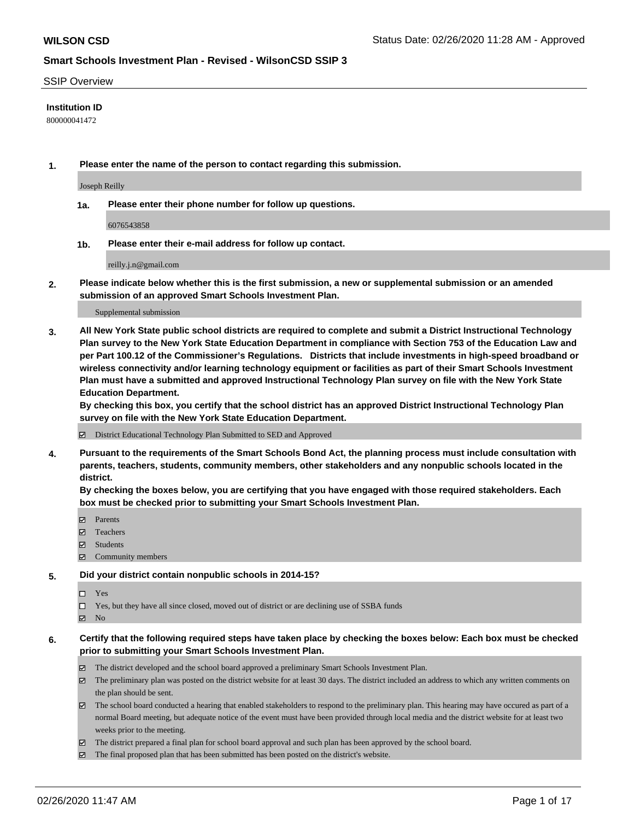#### SSIP Overview

### **Institution ID**

800000041472

**1. Please enter the name of the person to contact regarding this submission.**

Joseph Reilly

**1a. Please enter their phone number for follow up questions.**

6076543858

**1b. Please enter their e-mail address for follow up contact.**

reilly.j.n@gmail.com

**2. Please indicate below whether this is the first submission, a new or supplemental submission or an amended submission of an approved Smart Schools Investment Plan.**

#### Supplemental submission

**3. All New York State public school districts are required to complete and submit a District Instructional Technology Plan survey to the New York State Education Department in compliance with Section 753 of the Education Law and per Part 100.12 of the Commissioner's Regulations. Districts that include investments in high-speed broadband or wireless connectivity and/or learning technology equipment or facilities as part of their Smart Schools Investment Plan must have a submitted and approved Instructional Technology Plan survey on file with the New York State Education Department.** 

**By checking this box, you certify that the school district has an approved District Instructional Technology Plan survey on file with the New York State Education Department.**

District Educational Technology Plan Submitted to SED and Approved

**4. Pursuant to the requirements of the Smart Schools Bond Act, the planning process must include consultation with parents, teachers, students, community members, other stakeholders and any nonpublic schools located in the district.** 

**By checking the boxes below, you are certifying that you have engaged with those required stakeholders. Each box must be checked prior to submitting your Smart Schools Investment Plan.**

- **マ** Parents
- Teachers
- Students
- Community members

#### **5. Did your district contain nonpublic schools in 2014-15?**

 $\neg$  Yes

Yes, but they have all since closed, moved out of district or are declining use of SSBA funds

**Z** No

### **6. Certify that the following required steps have taken place by checking the boxes below: Each box must be checked prior to submitting your Smart Schools Investment Plan.**

- The district developed and the school board approved a preliminary Smart Schools Investment Plan.
- $\boxtimes$  The preliminary plan was posted on the district website for at least 30 days. The district included an address to which any written comments on the plan should be sent.
- $\boxtimes$  The school board conducted a hearing that enabled stakeholders to respond to the preliminary plan. This hearing may have occured as part of a normal Board meeting, but adequate notice of the event must have been provided through local media and the district website for at least two weeks prior to the meeting.
- The district prepared a final plan for school board approval and such plan has been approved by the school board.
- The final proposed plan that has been submitted has been posted on the district's website.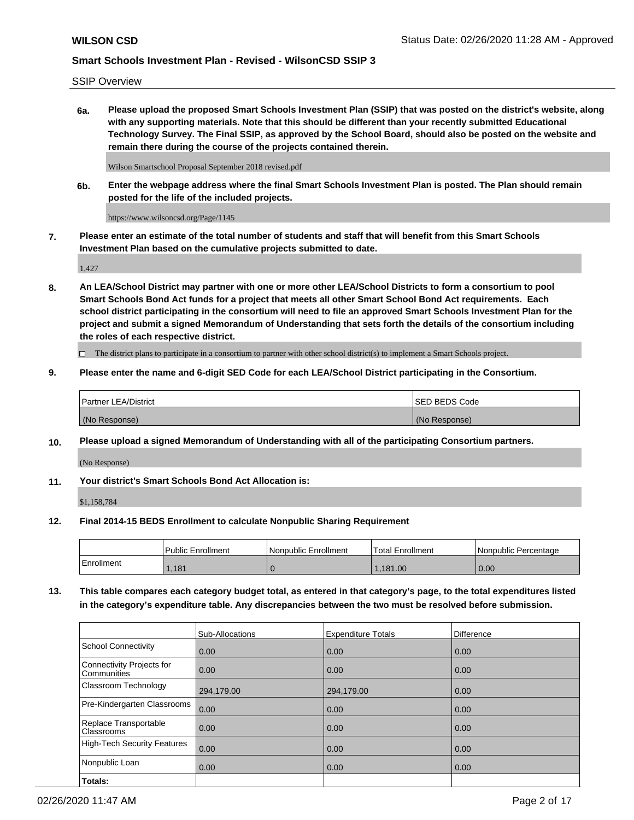SSIP Overview

**6a. Please upload the proposed Smart Schools Investment Plan (SSIP) that was posted on the district's website, along with any supporting materials. Note that this should be different than your recently submitted Educational Technology Survey. The Final SSIP, as approved by the School Board, should also be posted on the website and remain there during the course of the projects contained therein.**

Wilson Smartschool Proposal September 2018 revised.pdf

**6b. Enter the webpage address where the final Smart Schools Investment Plan is posted. The Plan should remain posted for the life of the included projects.**

https://www.wilsoncsd.org/Page/1145

**7. Please enter an estimate of the total number of students and staff that will benefit from this Smart Schools Investment Plan based on the cumulative projects submitted to date.**

1,427

**8. An LEA/School District may partner with one or more other LEA/School Districts to form a consortium to pool Smart Schools Bond Act funds for a project that meets all other Smart School Bond Act requirements. Each school district participating in the consortium will need to file an approved Smart Schools Investment Plan for the project and submit a signed Memorandum of Understanding that sets forth the details of the consortium including the roles of each respective district.**

 $\Box$  The district plans to participate in a consortium to partner with other school district(s) to implement a Smart Schools project.

### **9. Please enter the name and 6-digit SED Code for each LEA/School District participating in the Consortium.**

| Partner LEA/District | ISED BEDS Code |
|----------------------|----------------|
| (No Response)        | (No Response)  |

### **10. Please upload a signed Memorandum of Understanding with all of the participating Consortium partners.**

(No Response)

**11. Your district's Smart Schools Bond Act Allocation is:**

\$1,158,784

#### **12. Final 2014-15 BEDS Enrollment to calculate Nonpublic Sharing Requirement**

|            | Public Enrollment | Nonpublic Enrollment | Total Enrollment | Nonpublic Percentage |
|------------|-------------------|----------------------|------------------|----------------------|
| Enrollment | .181              |                      | .181.00          | 0.00                 |

**13. This table compares each category budget total, as entered in that category's page, to the total expenditures listed in the category's expenditure table. Any discrepancies between the two must be resolved before submission.**

|                                          | Sub-Allocations | <b>Expenditure Totals</b> | Difference |
|------------------------------------------|-----------------|---------------------------|------------|
| <b>School Connectivity</b>               | 0.00            | 0.00                      | 0.00       |
| Connectivity Projects for<br>Communities | 0.00            | 0.00                      | 0.00       |
| Classroom Technology                     | 294,179.00      | 294,179.00                | 0.00       |
| Pre-Kindergarten Classrooms              | 0.00            | 0.00                      | 0.00       |
| Replace Transportable<br>Classrooms      | 0.00            | 0.00                      | 0.00       |
| <b>High-Tech Security Features</b>       | 0.00            | 0.00                      | 0.00       |
| Nonpublic Loan                           | 0.00            | 0.00                      | 0.00       |
| Totals:                                  |                 |                           |            |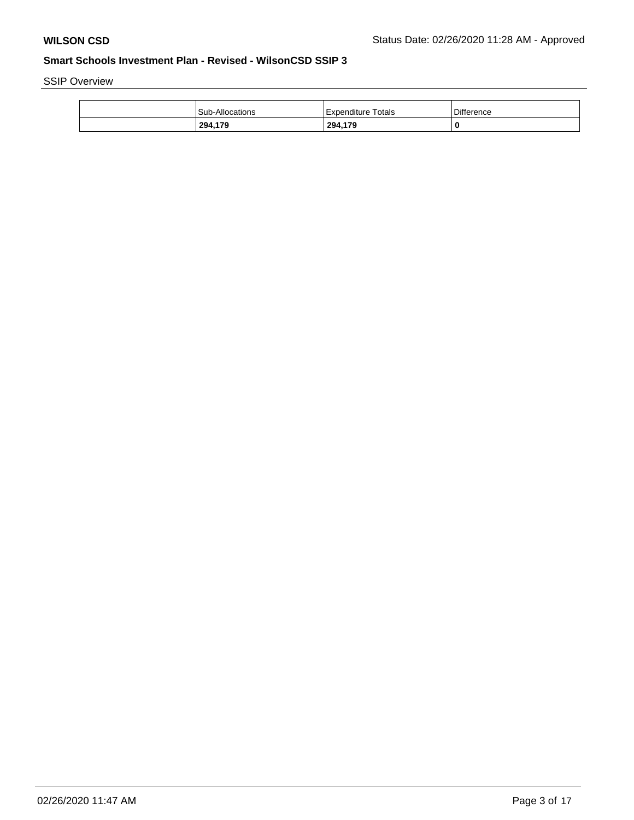SSIP Overview

| <b>Sub-Allocations</b> | Expenditure Totals | <b>Difference</b> |
|------------------------|--------------------|-------------------|
| 294,179                | 294,179            | 0                 |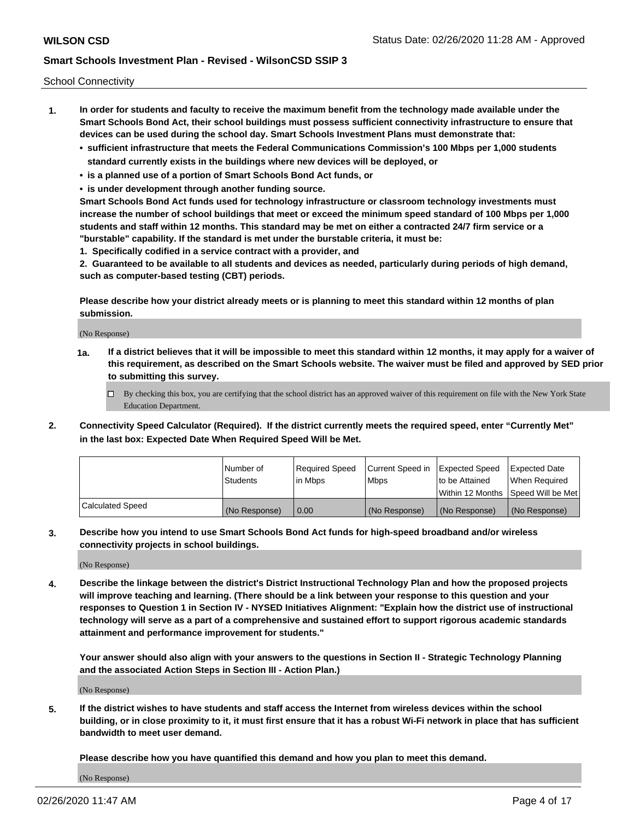School Connectivity

- **1. In order for students and faculty to receive the maximum benefit from the technology made available under the Smart Schools Bond Act, their school buildings must possess sufficient connectivity infrastructure to ensure that devices can be used during the school day. Smart Schools Investment Plans must demonstrate that:**
	- **• sufficient infrastructure that meets the Federal Communications Commission's 100 Mbps per 1,000 students standard currently exists in the buildings where new devices will be deployed, or**
	- **• is a planned use of a portion of Smart Schools Bond Act funds, or**
	- **• is under development through another funding source.**

**Smart Schools Bond Act funds used for technology infrastructure or classroom technology investments must increase the number of school buildings that meet or exceed the minimum speed standard of 100 Mbps per 1,000 students and staff within 12 months. This standard may be met on either a contracted 24/7 firm service or a "burstable" capability. If the standard is met under the burstable criteria, it must be:**

**1. Specifically codified in a service contract with a provider, and**

**2. Guaranteed to be available to all students and devices as needed, particularly during periods of high demand, such as computer-based testing (CBT) periods.**

**Please describe how your district already meets or is planning to meet this standard within 12 months of plan submission.**

(No Response)

**1a. If a district believes that it will be impossible to meet this standard within 12 months, it may apply for a waiver of this requirement, as described on the Smart Schools website. The waiver must be filed and approved by SED prior to submitting this survey.**

 $\Box$  By checking this box, you are certifying that the school district has an approved waiver of this requirement on file with the New York State Education Department.

**2. Connectivity Speed Calculator (Required). If the district currently meets the required speed, enter "Currently Met" in the last box: Expected Date When Required Speed Will be Met.**

|                  | l Number of     | Required Speed | Current Speed in | Expected Speed  | <b>Expected Date</b>                    |
|------------------|-----------------|----------------|------------------|-----------------|-----------------------------------------|
|                  | <b>Students</b> | In Mbps        | l Mbps           | Ito be Attained | When Required                           |
|                  |                 |                |                  |                 | l Within 12 Months ISpeed Will be Met l |
| Calculated Speed | (No Response)   | 0.00           | (No Response)    | (No Response)   | (No Response)                           |

**3. Describe how you intend to use Smart Schools Bond Act funds for high-speed broadband and/or wireless connectivity projects in school buildings.**

(No Response)

**4. Describe the linkage between the district's District Instructional Technology Plan and how the proposed projects will improve teaching and learning. (There should be a link between your response to this question and your responses to Question 1 in Section IV - NYSED Initiatives Alignment: "Explain how the district use of instructional technology will serve as a part of a comprehensive and sustained effort to support rigorous academic standards attainment and performance improvement for students."** 

**Your answer should also align with your answers to the questions in Section II - Strategic Technology Planning and the associated Action Steps in Section III - Action Plan.)**

(No Response)

**5. If the district wishes to have students and staff access the Internet from wireless devices within the school building, or in close proximity to it, it must first ensure that it has a robust Wi-Fi network in place that has sufficient bandwidth to meet user demand.**

**Please describe how you have quantified this demand and how you plan to meet this demand.**

(No Response)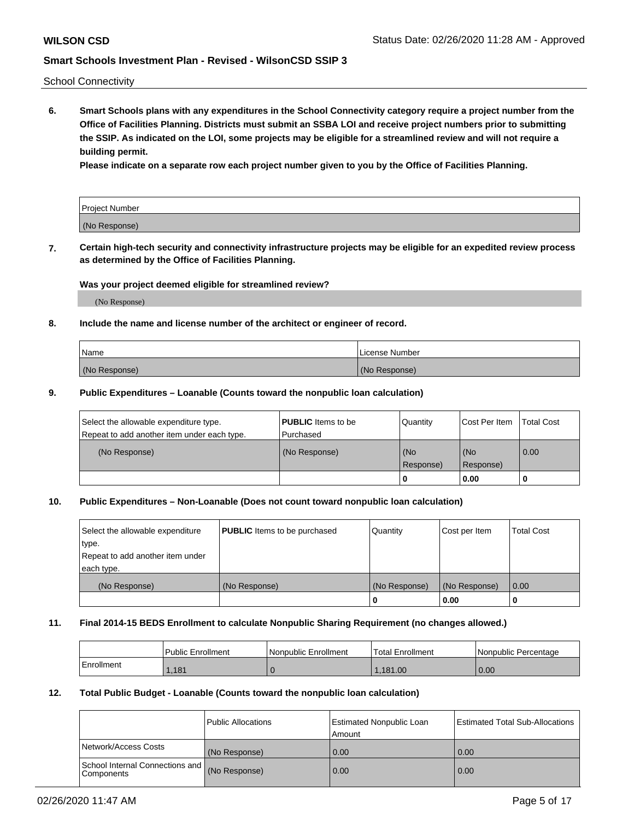School Connectivity

**6. Smart Schools plans with any expenditures in the School Connectivity category require a project number from the Office of Facilities Planning. Districts must submit an SSBA LOI and receive project numbers prior to submitting the SSIP. As indicated on the LOI, some projects may be eligible for a streamlined review and will not require a building permit.**

**Please indicate on a separate row each project number given to you by the Office of Facilities Planning.**

| Project Number |  |
|----------------|--|
| (No Response)  |  |

**7. Certain high-tech security and connectivity infrastructure projects may be eligible for an expedited review process as determined by the Office of Facilities Planning.**

### **Was your project deemed eligible for streamlined review?**

(No Response)

### **8. Include the name and license number of the architect or engineer of record.**

| Name          | License Number |
|---------------|----------------|
| (No Response) | (No Response)  |

#### **9. Public Expenditures – Loanable (Counts toward the nonpublic loan calculation)**

| Select the allowable expenditure type.<br>Repeat to add another item under each type. | <b>PUBLIC</b> Items to be<br>l Purchased | Quantity         | l Cost Per Item  | <b>Total Cost</b> |
|---------------------------------------------------------------------------------------|------------------------------------------|------------------|------------------|-------------------|
| (No Response)                                                                         | (No Response)                            | (No<br>Response) | (No<br>Response) | 0.00              |
|                                                                                       |                                          | 0                | 0.00             |                   |

### **10. Public Expenditures – Non-Loanable (Does not count toward nonpublic loan calculation)**

| Select the allowable expenditure<br>type.<br>Repeat to add another item under<br>each type. | <b>PUBLIC</b> Items to be purchased | Quantity      | Cost per Item | <b>Total Cost</b> |
|---------------------------------------------------------------------------------------------|-------------------------------------|---------------|---------------|-------------------|
| (No Response)                                                                               | (No Response)                       | (No Response) | (No Response) | 0.00              |
|                                                                                             |                                     |               | 0.00          |                   |

#### **11. Final 2014-15 BEDS Enrollment to calculate Nonpublic Sharing Requirement (no changes allowed.)**

|            | Public Enrollment | Nonpublic Enrollment | 'Total Enrollment | l Nonpublic Percentage |
|------------|-------------------|----------------------|-------------------|------------------------|
| Enrollment | .181              |                      | .181.00           | 0.00                   |

### **12. Total Public Budget - Loanable (Counts toward the nonpublic loan calculation)**

|                                                      | Public Allocations | <b>Estimated Nonpublic Loan</b><br>Amount | Estimated Total Sub-Allocations |
|------------------------------------------------------|--------------------|-------------------------------------------|---------------------------------|
| Network/Access Costs                                 | (No Response)      | 0.00                                      | 0.00                            |
| School Internal Connections and<br><b>Components</b> | (No Response)      | 0.00                                      | 0.00                            |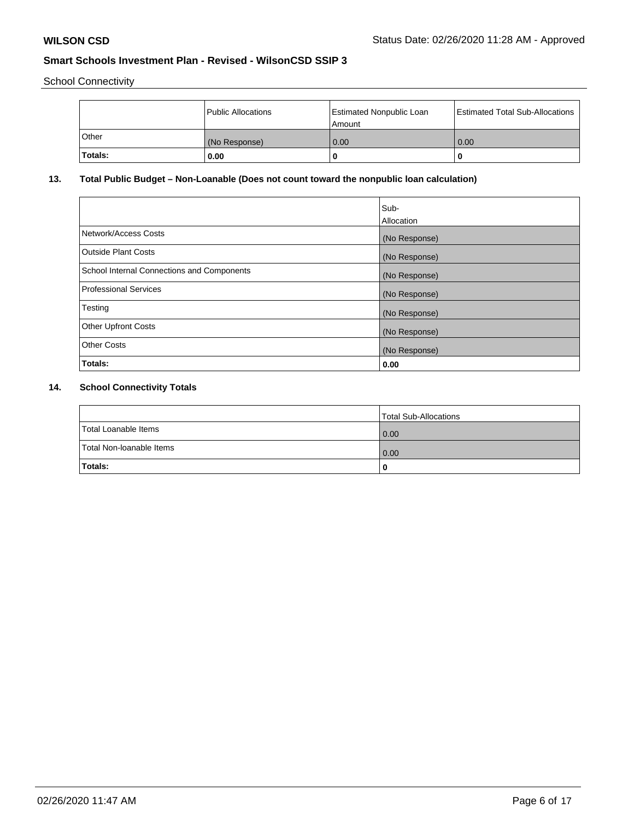School Connectivity

|              | Public Allocations | <b>Estimated Nonpublic Loan</b><br>Amount | <b>Estimated Total Sub-Allocations</b> |
|--------------|--------------------|-------------------------------------------|----------------------------------------|
| <b>Other</b> | (No Response)      | 0.00                                      | 0.00                                   |
| Totals:      | 0.00               | 0                                         |                                        |

## **13. Total Public Budget – Non-Loanable (Does not count toward the nonpublic loan calculation)**

|                                                   | Sub-<br>Allocation |
|---------------------------------------------------|--------------------|
| Network/Access Costs                              | (No Response)      |
| Outside Plant Costs                               | (No Response)      |
| <b>School Internal Connections and Components</b> | (No Response)      |
| <b>Professional Services</b>                      | (No Response)      |
| Testing                                           | (No Response)      |
| <b>Other Upfront Costs</b>                        | (No Response)      |
| <b>Other Costs</b>                                | (No Response)      |
| Totals:                                           | 0.00               |

## **14. School Connectivity Totals**

|                          | Total Sub-Allocations |
|--------------------------|-----------------------|
| Total Loanable Items     | 0.00                  |
| Total Non-Ioanable Items | 0.00                  |
| Totals:                  | 0                     |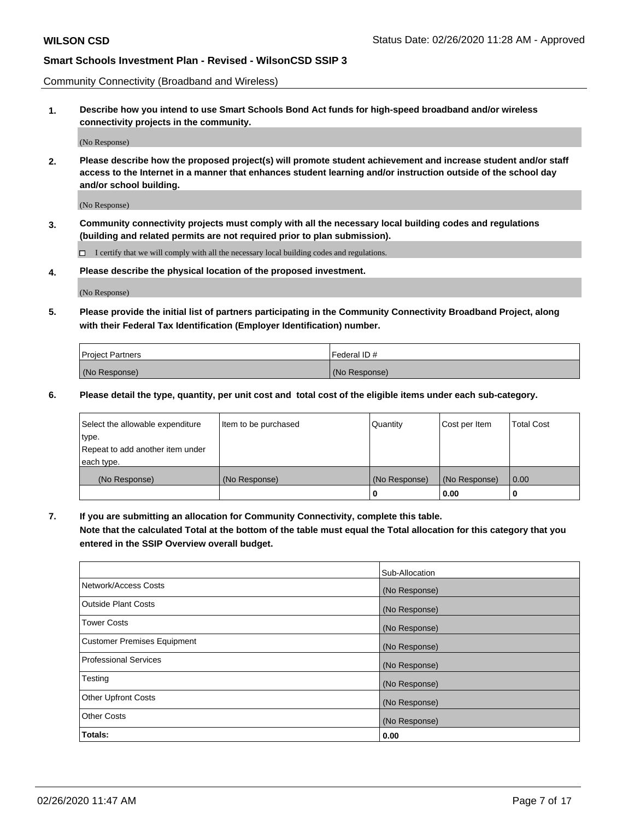Community Connectivity (Broadband and Wireless)

**1. Describe how you intend to use Smart Schools Bond Act funds for high-speed broadband and/or wireless connectivity projects in the community.**

(No Response)

**2. Please describe how the proposed project(s) will promote student achievement and increase student and/or staff access to the Internet in a manner that enhances student learning and/or instruction outside of the school day and/or school building.**

(No Response)

**3. Community connectivity projects must comply with all the necessary local building codes and regulations (building and related permits are not required prior to plan submission).**

 $\Box$  I certify that we will comply with all the necessary local building codes and regulations.

**4. Please describe the physical location of the proposed investment.**

(No Response)

**5. Please provide the initial list of partners participating in the Community Connectivity Broadband Project, along with their Federal Tax Identification (Employer Identification) number.**

| <b>Project Partners</b> | l Federal ID # |
|-------------------------|----------------|
| (No Response)           | (No Response)  |

**6. Please detail the type, quantity, per unit cost and total cost of the eligible items under each sub-category.**

| Select the allowable expenditure | Item to be purchased | Quantity      | Cost per Item | <b>Total Cost</b> |
|----------------------------------|----------------------|---------------|---------------|-------------------|
| type.                            |                      |               |               |                   |
| Repeat to add another item under |                      |               |               |                   |
| each type.                       |                      |               |               |                   |
| (No Response)                    | (No Response)        | (No Response) | (No Response) | 0.00              |
|                                  |                      | o             | 0.00          |                   |

**7. If you are submitting an allocation for Community Connectivity, complete this table.**

**Note that the calculated Total at the bottom of the table must equal the Total allocation for this category that you entered in the SSIP Overview overall budget.**

|                                    | Sub-Allocation |
|------------------------------------|----------------|
| Network/Access Costs               | (No Response)  |
| Outside Plant Costs                | (No Response)  |
| <b>Tower Costs</b>                 | (No Response)  |
| <b>Customer Premises Equipment</b> | (No Response)  |
| <b>Professional Services</b>       | (No Response)  |
| Testing                            | (No Response)  |
| <b>Other Upfront Costs</b>         | (No Response)  |
| <b>Other Costs</b>                 | (No Response)  |
| Totals:                            | 0.00           |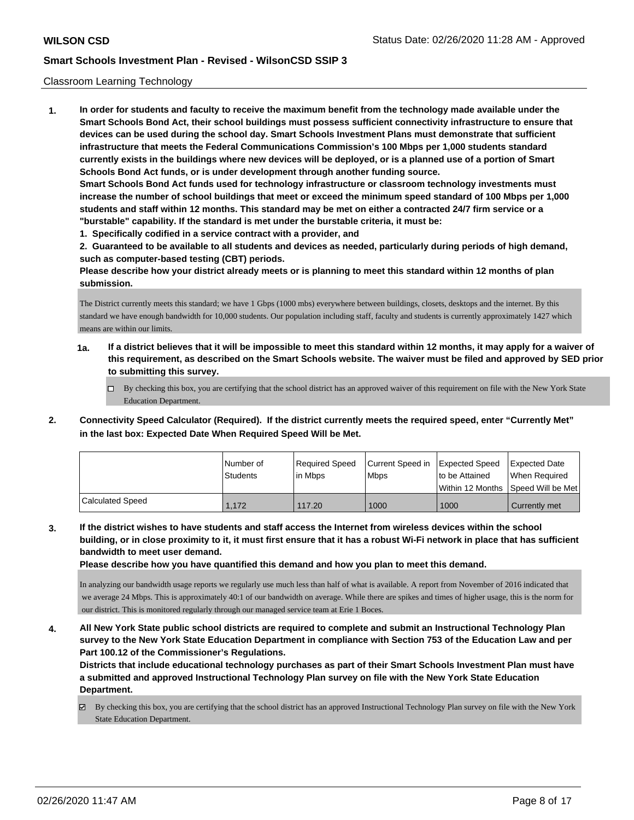#### Classroom Learning Technology

**1. In order for students and faculty to receive the maximum benefit from the technology made available under the Smart Schools Bond Act, their school buildings must possess sufficient connectivity infrastructure to ensure that devices can be used during the school day. Smart Schools Investment Plans must demonstrate that sufficient infrastructure that meets the Federal Communications Commission's 100 Mbps per 1,000 students standard currently exists in the buildings where new devices will be deployed, or is a planned use of a portion of Smart Schools Bond Act funds, or is under development through another funding source. Smart Schools Bond Act funds used for technology infrastructure or classroom technology investments must increase the number of school buildings that meet or exceed the minimum speed standard of 100 Mbps per 1,000 students and staff within 12 months. This standard may be met on either a contracted 24/7 firm service or a "burstable" capability. If the standard is met under the burstable criteria, it must be:**

**1. Specifically codified in a service contract with a provider, and**

**2. Guaranteed to be available to all students and devices as needed, particularly during periods of high demand, such as computer-based testing (CBT) periods.**

**Please describe how your district already meets or is planning to meet this standard within 12 months of plan submission.**

The District currently meets this standard; we have 1 Gbps (1000 mbs) everywhere between buildings, closets, desktops and the internet. By this standard we have enough bandwidth for 10,000 students. Our population including staff, faculty and students is currently approximately 1427 which means are within our limits.

- **1a. If a district believes that it will be impossible to meet this standard within 12 months, it may apply for a waiver of this requirement, as described on the Smart Schools website. The waiver must be filed and approved by SED prior to submitting this survey.**
	- By checking this box, you are certifying that the school district has an approved waiver of this requirement on file with the New York State Education Department.
- **2. Connectivity Speed Calculator (Required). If the district currently meets the required speed, enter "Currently Met" in the last box: Expected Date When Required Speed Will be Met.**

|                  | l Number of<br>Students | Required Speed<br>lin Mbps | Current Speed in<br><b>Mbps</b> | <b>Expected Speed</b><br>to be Attained | Expected Date<br>When Required          |
|------------------|-------------------------|----------------------------|---------------------------------|-----------------------------------------|-----------------------------------------|
|                  |                         |                            |                                 |                                         | l Within 12 Months ISpeed Will be Met l |
| Calculated Speed | 1.172                   | 117.20                     | 1000                            | 1000                                    | Currently met                           |

**3. If the district wishes to have students and staff access the Internet from wireless devices within the school building, or in close proximity to it, it must first ensure that it has a robust Wi-Fi network in place that has sufficient bandwidth to meet user demand.**

**Please describe how you have quantified this demand and how you plan to meet this demand.**

In analyzing our bandwidth usage reports we regularly use much less than half of what is available. A report from November of 2016 indicated that we average 24 Mbps. This is approximately 40:1 of our bandwidth on average. While there are spikes and times of higher usage, this is the norm for our district. This is monitored regularly through our managed service team at Erie 1 Boces.

**4. All New York State public school districts are required to complete and submit an Instructional Technology Plan survey to the New York State Education Department in compliance with Section 753 of the Education Law and per Part 100.12 of the Commissioner's Regulations.**

**Districts that include educational technology purchases as part of their Smart Schools Investment Plan must have a submitted and approved Instructional Technology Plan survey on file with the New York State Education Department.**

By checking this box, you are certifying that the school district has an approved Instructional Technology Plan survey on file with the New York State Education Department.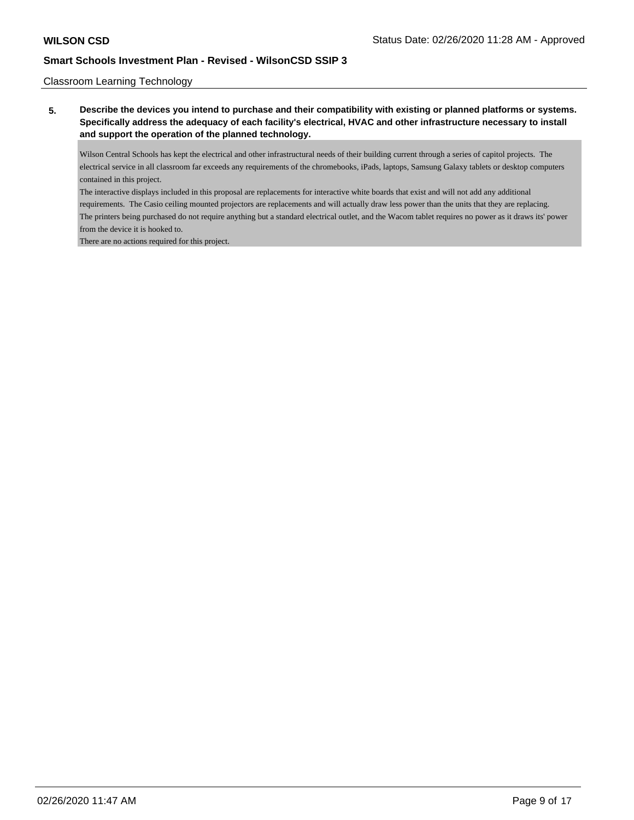### Classroom Learning Technology

**5. Describe the devices you intend to purchase and their compatibility with existing or planned platforms or systems. Specifically address the adequacy of each facility's electrical, HVAC and other infrastructure necessary to install and support the operation of the planned technology.**

Wilson Central Schools has kept the electrical and other infrastructural needs of their building current through a series of capitol projects. The electrical service in all classroom far exceeds any requirements of the chromebooks, iPads, laptops, Samsung Galaxy tablets or desktop computers contained in this project.

The interactive displays included in this proposal are replacements for interactive white boards that exist and will not add any additional requirements. The Casio ceiling mounted projectors are replacements and will actually draw less power than the units that they are replacing. The printers being purchased do not require anything but a standard electrical outlet, and the Wacom tablet requires no power as it draws its' power from the device it is hooked to.

There are no actions required for this project.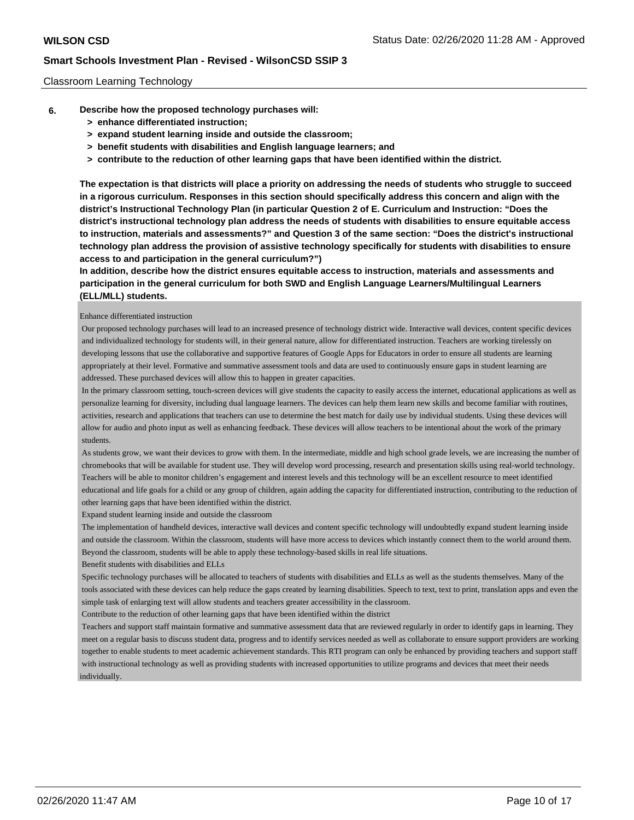#### Classroom Learning Technology

- **6. Describe how the proposed technology purchases will:**
	- **> enhance differentiated instruction;**
	- **> expand student learning inside and outside the classroom;**
	- **> benefit students with disabilities and English language learners; and**
	- **> contribute to the reduction of other learning gaps that have been identified within the district.**

**The expectation is that districts will place a priority on addressing the needs of students who struggle to succeed in a rigorous curriculum. Responses in this section should specifically address this concern and align with the district's Instructional Technology Plan (in particular Question 2 of E. Curriculum and Instruction: "Does the district's instructional technology plan address the needs of students with disabilities to ensure equitable access to instruction, materials and assessments?" and Question 3 of the same section: "Does the district's instructional technology plan address the provision of assistive technology specifically for students with disabilities to ensure access to and participation in the general curriculum?")**

**In addition, describe how the district ensures equitable access to instruction, materials and assessments and participation in the general curriculum for both SWD and English Language Learners/Multilingual Learners (ELL/MLL) students.**

#### Enhance differentiated instruction

 Our proposed technology purchases will lead to an increased presence of technology district wide. Interactive wall devices, content specific devices and individualized technology for students will, in their general nature, allow for differentiated instruction. Teachers are working tirelessly on developing lessons that use the collaborative and supportive features of Google Apps for Educators in order to ensure all students are learning appropriately at their level. Formative and summative assessment tools and data are used to continuously ensure gaps in student learning are addressed. These purchased devices will allow this to happen in greater capacities.

 In the primary classroom setting, touch-screen devices will give students the capacity to easily access the internet, educational applications as well as personalize learning for diversity, including dual language learners. The devices can help them learn new skills and become familiar with routines, activities, research and applications that teachers can use to determine the best match for daily use by individual students. Using these devices will allow for audio and photo input as well as enhancing feedback. These devices will allow teachers to be intentional about the work of the primary students.

 As students grow, we want their devices to grow with them. In the intermediate, middle and high school grade levels, we are increasing the number of chromebooks that will be available for student use. They will develop word processing, research and presentation skills using real-world technology. Teachers will be able to monitor children's engagement and interest levels and this technology will be an excellent resource to meet identified educational and life goals for a child or any group of children, again adding the capacity for differentiated instruction, contributing to the reduction of other learning gaps that have been identified within the district.

Expand student learning inside and outside the classroom

 The implementation of handheld devices, interactive wall devices and content specific technology will undoubtedly expand student learning inside and outside the classroom. Within the classroom, students will have more access to devices which instantly connect them to the world around them. Beyond the classroom, students will be able to apply these technology-based skills in real life situations.

Benefit students with disabilities and ELLs

 Specific technology purchases will be allocated to teachers of students with disabilities and ELLs as well as the students themselves. Many of the tools associated with these devices can help reduce the gaps created by learning disabilities. Speech to text, text to print, translation apps and even the simple task of enlarging text will allow students and teachers greater accessibility in the classroom.

Contribute to the reduction of other learning gaps that have been identified within the district

 Teachers and support staff maintain formative and summative assessment data that are reviewed regularly in order to identify gaps in learning. They meet on a regular basis to discuss student data, progress and to identify services needed as well as collaborate to ensure support providers are working together to enable students to meet academic achievement standards. This RTI program can only be enhanced by providing teachers and support staff with instructional technology as well as providing students with increased opportunities to utilize programs and devices that meet their needs individually.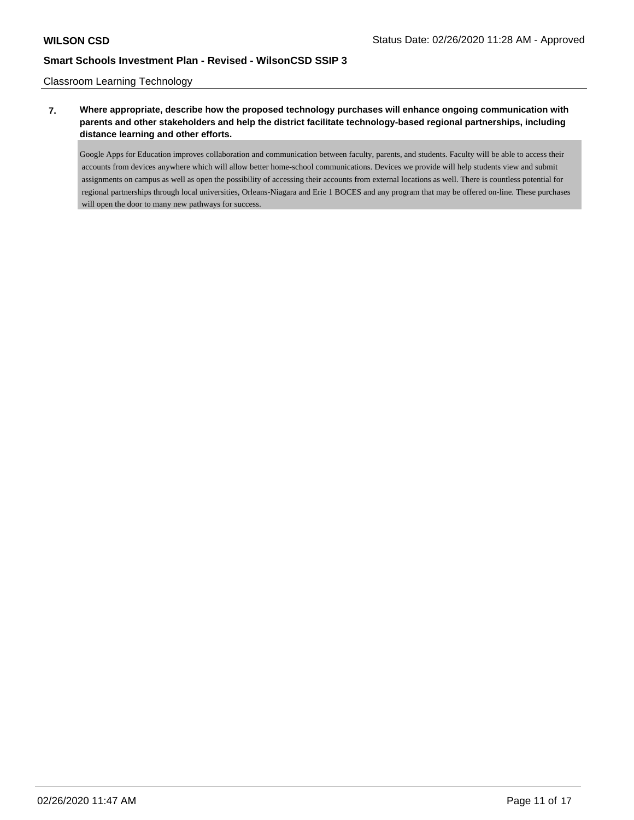Classroom Learning Technology

## **7. Where appropriate, describe how the proposed technology purchases will enhance ongoing communication with parents and other stakeholders and help the district facilitate technology-based regional partnerships, including distance learning and other efforts.**

Google Apps for Education improves collaboration and communication between faculty, parents, and students. Faculty will be able to access their accounts from devices anywhere which will allow better home-school communications. Devices we provide will help students view and submit assignments on campus as well as open the possibility of accessing their accounts from external locations as well. There is countless potential for regional partnerships through local universities, Orleans-Niagara and Erie 1 BOCES and any program that may be offered on-line. These purchases will open the door to many new pathways for success.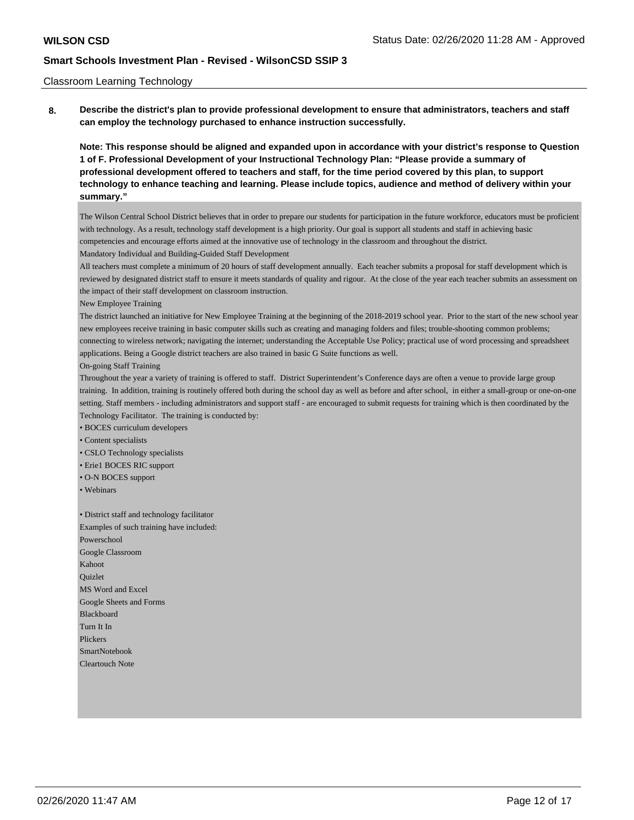#### Classroom Learning Technology

**8. Describe the district's plan to provide professional development to ensure that administrators, teachers and staff can employ the technology purchased to enhance instruction successfully.**

**Note: This response should be aligned and expanded upon in accordance with your district's response to Question 1 of F. Professional Development of your Instructional Technology Plan: "Please provide a summary of professional development offered to teachers and staff, for the time period covered by this plan, to support technology to enhance teaching and learning. Please include topics, audience and method of delivery within your summary."**

The Wilson Central School District believes that in order to prepare our students for participation in the future workforce, educators must be proficient with technology. As a result, technology staff development is a high priority. Our goal is support all students and staff in achieving basic competencies and encourage efforts aimed at the innovative use of technology in the classroom and throughout the district. Mandatory Individual and Building-Guided Staff Development

All teachers must complete a minimum of 20 hours of staff development annually. Each teacher submits a proposal for staff development which is reviewed by designated district staff to ensure it meets standards of quality and rigour. At the close of the year each teacher submits an assessment on the impact of their staff development on classroom instruction.

New Employee Training

The district launched an initiative for New Employee Training at the beginning of the 2018-2019 school year. Prior to the start of the new school year new employees receive training in basic computer skills such as creating and managing folders and files; trouble-shooting common problems; connecting to wireless network; navigating the internet; understanding the Acceptable Use Policy; practical use of word processing and spreadsheet applications. Being a Google district teachers are also trained in basic G Suite functions as well.

On-going Staff Training

Throughout the year a variety of training is offered to staff. District Superintendent's Conference days are often a venue to provide large group training. In addition, training is routinely offered both during the school day as well as before and after school, in either a small-group or one-on-one setting. Staff members - including administrators and support staff - are encouraged to submit requests for training which is then coordinated by the Technology Facilitator. The training is conducted by:

• BOCES curriculum developers

• Content specialists

• CSLO Technology specialists

• Erie1 BOCES RIC support

• O-N BOCES support

• Webinars

• District staff and technology facilitator Examples of such training have included: Powerschool Google Classroom Kahoot Quizlet MS Word and Excel Google Sheets and Forms Blackboard Turn It In Plickers SmartNotebook Cleartouch Note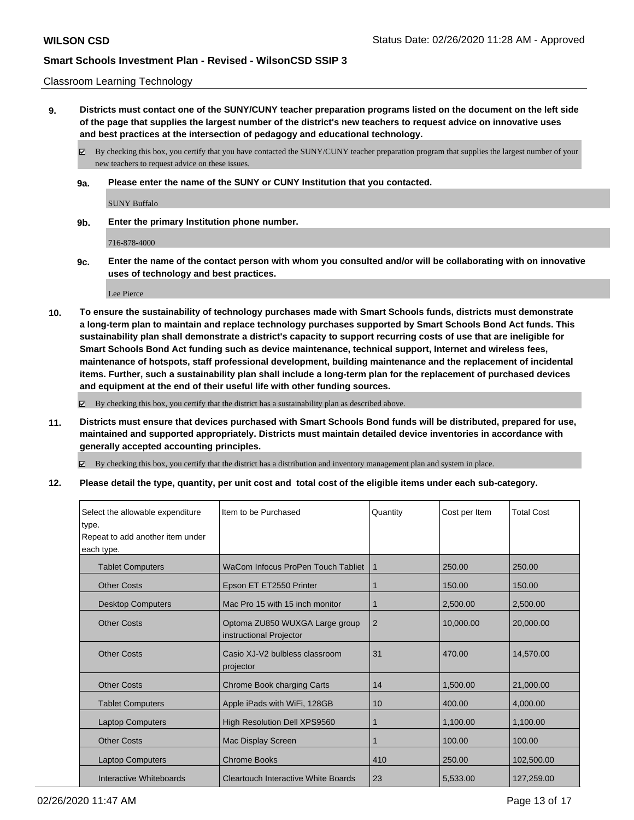#### Classroom Learning Technology

**9. Districts must contact one of the SUNY/CUNY teacher preparation programs listed on the document on the left side of the page that supplies the largest number of the district's new teachers to request advice on innovative uses and best practices at the intersection of pedagogy and educational technology.**

By checking this box, you certify that you have contacted the SUNY/CUNY teacher preparation program that supplies the largest number of your new teachers to request advice on these issues.

**9a. Please enter the name of the SUNY or CUNY Institution that you contacted.**

SUNY Buffalo

**9b. Enter the primary Institution phone number.**

716-878-4000

**9c. Enter the name of the contact person with whom you consulted and/or will be collaborating with on innovative uses of technology and best practices.**

Lee Pierce

**10. To ensure the sustainability of technology purchases made with Smart Schools funds, districts must demonstrate a long-term plan to maintain and replace technology purchases supported by Smart Schools Bond Act funds. This sustainability plan shall demonstrate a district's capacity to support recurring costs of use that are ineligible for Smart Schools Bond Act funding such as device maintenance, technical support, Internet and wireless fees, maintenance of hotspots, staff professional development, building maintenance and the replacement of incidental items. Further, such a sustainability plan shall include a long-term plan for the replacement of purchased devices and equipment at the end of their useful life with other funding sources.**

By checking this box, you certify that the district has a sustainability plan as described above.

**11. Districts must ensure that devices purchased with Smart Schools Bond funds will be distributed, prepared for use, maintained and supported appropriately. Districts must maintain detailed device inventories in accordance with generally accepted accounting principles.**

By checking this box, you certify that the district has a distribution and inventory management plan and system in place.

**12. Please detail the type, quantity, per unit cost and total cost of the eligible items under each sub-category.**

| Select the allowable expenditure<br>type.<br>Repeat to add another item under<br>each type. | Item to be Purchased                                      | Quantity | Cost per Item | <b>Total Cost</b> |
|---------------------------------------------------------------------------------------------|-----------------------------------------------------------|----------|---------------|-------------------|
| <b>Tablet Computers</b>                                                                     | WaCom Infocus ProPen Touch Tabliet                        | 1        | 250.00        | 250.00            |
| <b>Other Costs</b>                                                                          | Epson ET ET2550 Printer                                   | 1        | 150.00        | 150.00            |
| <b>Desktop Computers</b>                                                                    | Mac Pro 15 with 15 inch monitor                           | 1        | 2,500.00      | 2,500.00          |
| <b>Other Costs</b>                                                                          | Optoma ZU850 WUXGA Large group<br>instructional Projector | 2        | 10,000.00     | 20,000.00         |
| <b>Other Costs</b>                                                                          | Casio XJ-V2 bulbless classroom<br>projector               | 31       | 470.00        | 14,570.00         |
| <b>Other Costs</b>                                                                          | Chrome Book charging Carts                                | 14       | 1,500.00      | 21,000.00         |
| <b>Tablet Computers</b>                                                                     | Apple iPads with WiFi, 128GB                              | 10       | 400.00        | 4,000.00          |
| <b>Laptop Computers</b>                                                                     | High Resolution Dell XPS9560                              | 1        | 1,100.00      | 1,100.00          |
| <b>Other Costs</b>                                                                          | Mac Display Screen                                        |          | 100.00        | 100.00            |
| <b>Laptop Computers</b>                                                                     | <b>Chrome Books</b>                                       | 410      | 250.00        | 102,500.00        |
| Interactive Whiteboards                                                                     | Cleartouch Interactive White Boards                       | 23       | 5,533.00      | 127,259.00        |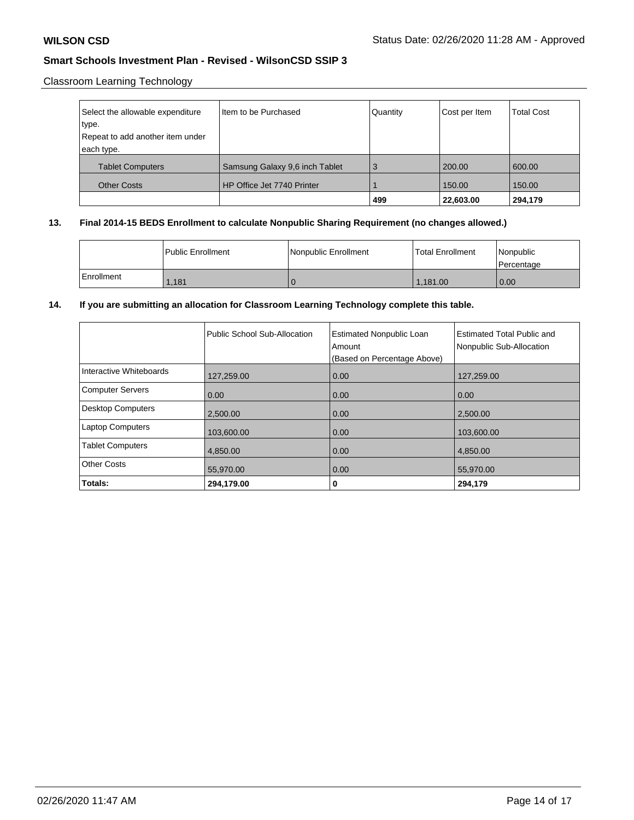## Classroom Learning Technology

| Select the allowable expenditure | Item to be Purchased           | Quantity | Cost per Item | <b>Total Cost</b> |
|----------------------------------|--------------------------------|----------|---------------|-------------------|
| type.                            |                                |          |               |                   |
| Repeat to add another item under |                                |          |               |                   |
| each type.                       |                                |          |               |                   |
| <b>Tablet Computers</b>          | Samsung Galaxy 9,6 inch Tablet | 3        | 200.00        | 600.00            |
| <b>Other Costs</b>               | HP Office Jet 7740 Printer     |          | 150.00        | 150.00            |
|                                  |                                | 499      | 22,603.00     | 294,179           |

## **13. Final 2014-15 BEDS Enrollment to calculate Nonpublic Sharing Requirement (no changes allowed.)**

|            | l Public Enrollment | Nonpublic Enrollment | Total Enrollment | Nonpublic<br>l Percentage |
|------------|---------------------|----------------------|------------------|---------------------------|
| Enrollment | 1,181               |                      | 1.181.00         | 0.00                      |

## **14. If you are submitting an allocation for Classroom Learning Technology complete this table.**

|                          | Public School Sub-Allocation | <b>Estimated Nonpublic Loan</b><br>Amount<br>(Based on Percentage Above) | <b>Estimated Total Public and</b><br>Nonpublic Sub-Allocation |
|--------------------------|------------------------------|--------------------------------------------------------------------------|---------------------------------------------------------------|
| Interactive Whiteboards  | 127,259.00                   | 0.00                                                                     | 127,259.00                                                    |
| <b>Computer Servers</b>  | 0.00                         | 0.00                                                                     | 0.00                                                          |
| <b>Desktop Computers</b> | 2,500.00                     | 0.00                                                                     | 2,500.00                                                      |
| <b>Laptop Computers</b>  | 103,600.00                   | 0.00                                                                     | 103,600.00                                                    |
| <b>Tablet Computers</b>  | 4,850.00                     | 0.00                                                                     | 4,850.00                                                      |
| <b>Other Costs</b>       | 55,970.00                    | 0.00                                                                     | 55,970.00                                                     |
| Totals:                  | 294,179.00                   | 0                                                                        | 294,179                                                       |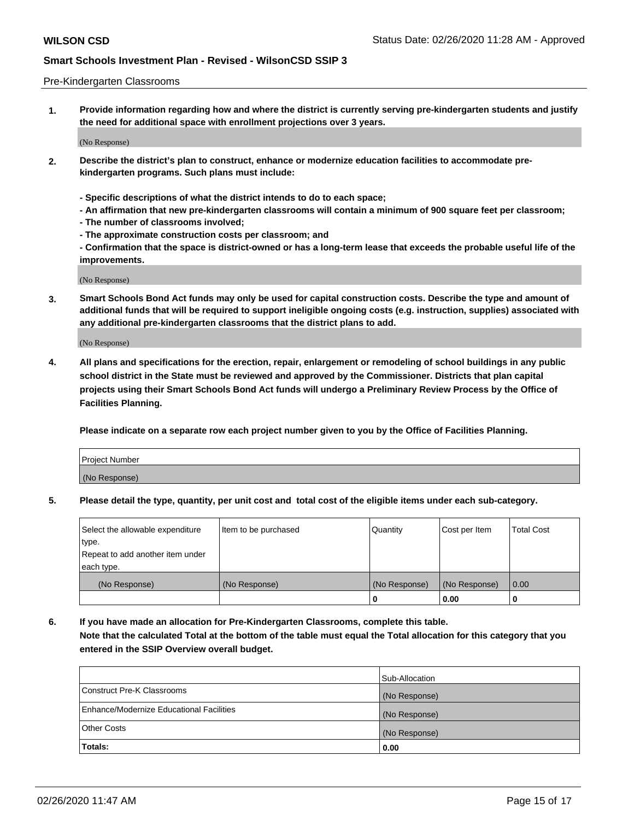#### Pre-Kindergarten Classrooms

**1. Provide information regarding how and where the district is currently serving pre-kindergarten students and justify the need for additional space with enrollment projections over 3 years.**

(No Response)

- **2. Describe the district's plan to construct, enhance or modernize education facilities to accommodate prekindergarten programs. Such plans must include:**
	- **Specific descriptions of what the district intends to do to each space;**
	- **An affirmation that new pre-kindergarten classrooms will contain a minimum of 900 square feet per classroom;**
	- **The number of classrooms involved;**
	- **The approximate construction costs per classroom; and**
	- **Confirmation that the space is district-owned or has a long-term lease that exceeds the probable useful life of the improvements.**

(No Response)

**3. Smart Schools Bond Act funds may only be used for capital construction costs. Describe the type and amount of additional funds that will be required to support ineligible ongoing costs (e.g. instruction, supplies) associated with any additional pre-kindergarten classrooms that the district plans to add.**

(No Response)

**4. All plans and specifications for the erection, repair, enlargement or remodeling of school buildings in any public school district in the State must be reviewed and approved by the Commissioner. Districts that plan capital projects using their Smart Schools Bond Act funds will undergo a Preliminary Review Process by the Office of Facilities Planning.**

**Please indicate on a separate row each project number given to you by the Office of Facilities Planning.**

| Project Number |  |
|----------------|--|
| (No Response)  |  |
|                |  |

**5. Please detail the type, quantity, per unit cost and total cost of the eligible items under each sub-category.**

| Select the allowable expenditure | Item to be purchased | Quantity      | Cost per Item | <b>Total Cost</b> |
|----------------------------------|----------------------|---------------|---------------|-------------------|
| 'type.                           |                      |               |               |                   |
| Repeat to add another item under |                      |               |               |                   |
| each type.                       |                      |               |               |                   |
| (No Response)                    | (No Response)        | (No Response) | (No Response) | 0.00              |
|                                  |                      | U             | 0.00          |                   |

**6. If you have made an allocation for Pre-Kindergarten Classrooms, complete this table. Note that the calculated Total at the bottom of the table must equal the Total allocation for this category that you entered in the SSIP Overview overall budget.**

|                                          | Sub-Allocation |
|------------------------------------------|----------------|
| Construct Pre-K Classrooms               | (No Response)  |
| Enhance/Modernize Educational Facilities | (No Response)  |
| <b>Other Costs</b>                       | (No Response)  |
| Totals:                                  | 0.00           |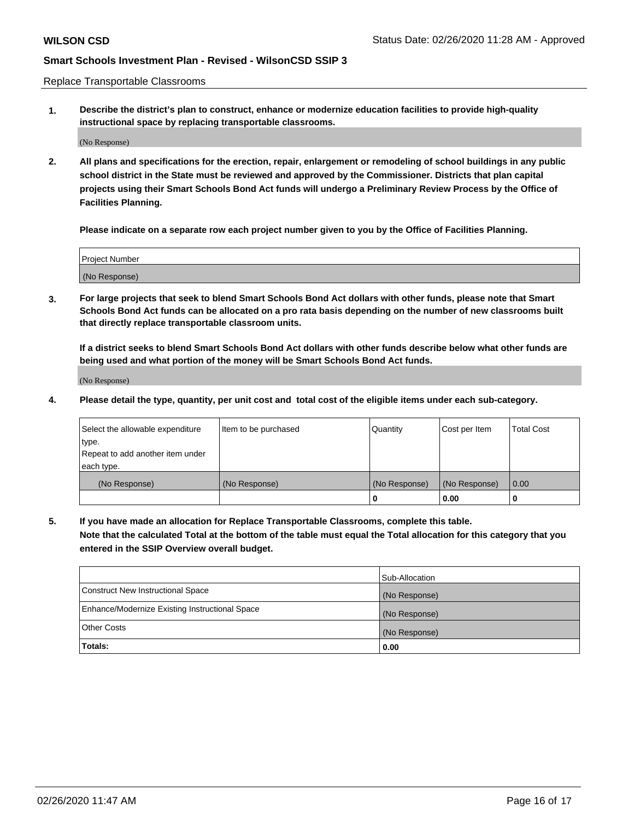Replace Transportable Classrooms

**1. Describe the district's plan to construct, enhance or modernize education facilities to provide high-quality instructional space by replacing transportable classrooms.**

(No Response)

**2. All plans and specifications for the erection, repair, enlargement or remodeling of school buildings in any public school district in the State must be reviewed and approved by the Commissioner. Districts that plan capital projects using their Smart Schools Bond Act funds will undergo a Preliminary Review Process by the Office of Facilities Planning.**

**Please indicate on a separate row each project number given to you by the Office of Facilities Planning.**

| Project Number |  |
|----------------|--|
|                |  |
|                |  |
|                |  |
| (No Response)  |  |
|                |  |
|                |  |

**3. For large projects that seek to blend Smart Schools Bond Act dollars with other funds, please note that Smart Schools Bond Act funds can be allocated on a pro rata basis depending on the number of new classrooms built that directly replace transportable classroom units.**

**If a district seeks to blend Smart Schools Bond Act dollars with other funds describe below what other funds are being used and what portion of the money will be Smart Schools Bond Act funds.**

(No Response)

**4. Please detail the type, quantity, per unit cost and total cost of the eligible items under each sub-category.**

| Select the allowable expenditure | Item to be purchased | Quantity      | Cost per Item | Total Cost |
|----------------------------------|----------------------|---------------|---------------|------------|
| ∣type.                           |                      |               |               |            |
| Repeat to add another item under |                      |               |               |            |
| each type.                       |                      |               |               |            |
| (No Response)                    | (No Response)        | (No Response) | (No Response) | 0.00       |
|                                  |                      | u             | 0.00          |            |

**5. If you have made an allocation for Replace Transportable Classrooms, complete this table. Note that the calculated Total at the bottom of the table must equal the Total allocation for this category that you entered in the SSIP Overview overall budget.**

|                                                | Sub-Allocation |
|------------------------------------------------|----------------|
| Construct New Instructional Space              | (No Response)  |
| Enhance/Modernize Existing Instructional Space | (No Response)  |
| Other Costs                                    | (No Response)  |
| Totals:                                        | 0.00           |